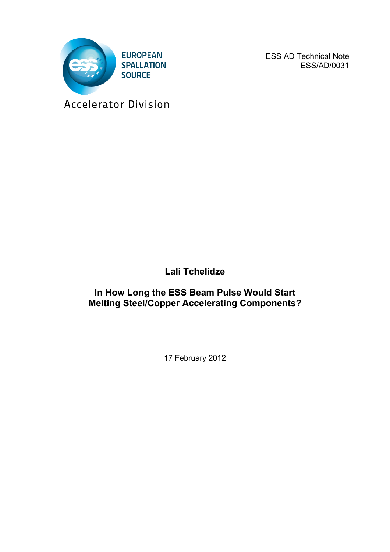

ESS AD Technical Note ESS/AD/0031

Accelerator Division

**Lali Tchelidze**

**In How Long the ESS Beam Pulse Would Start Melting Steel/Copper Accelerating Components?**

17 February 2012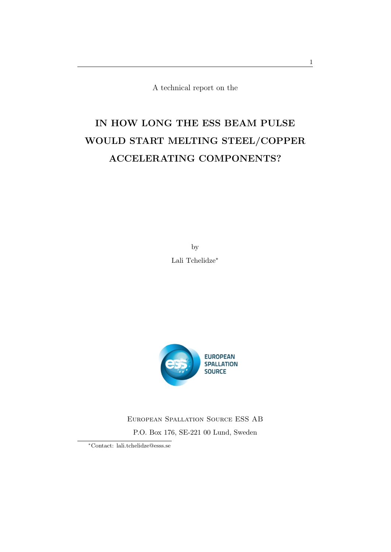A technical report on the

# IN HOW LONG THE ESS BEAM PULSE WOULD START MELTING STEEL/COPPER ACCELERATING COMPONENTS?

by Lali Tchelidze<sup>\*</sup>



European Spallation Source ESS AB P.O. Box 176, SE-221 00 Lund, Sweden

⇤Contact: lali.tchelidze@esss.se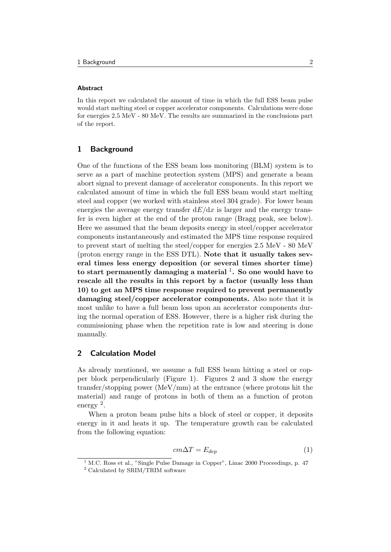#### Abstract

In this report we calculated the amount of time in which the full ESS beam pulse would start melting steel or copper accelerator components. Calculations were done for energies 2.5 MeV - 80 MeV. The results are summarized in the conclusions part of the report.

### 1 Background

One of the functions of the ESS beam loss monitoring (BLM) system is to serve as a part of machine protection system (MPS) and generate a beam abort signal to prevent damage of accelerator components. In this report we calculated amount of time in which the full ESS beam would start melting steel and copper (we worked with stainless steel 304 grade). For lower beam energies the average energy transfer  $dE/dx$  is larger and the energy transfer is even higher at the end of the proton range (Bragg peak, see below). Here we assumed that the beam deposits energy in steel/copper accelerator components instantaneously and estimated the MPS time response required to prevent start of melting the steel/copper for energies 2.5 MeV - 80 MeV (proton energy range in the ESS DTL). Note that it usually takes several times less energy deposition (or several times shorter time) to start permanently damaging a material  $\frac{1}{1}$ . So one would have to rescale all the results in this report by a factor (usually less than 10) to get an MPS time response required to prevent permanently damaging steel/copper accelerator components. Also note that it is most unlike to have a full beam loss upon an accelerator components during the normal operation of ESS. However, there is a higher risk during the commissioning phase when the repetition rate is low and steering is done manually.

### 2 Calculation Model

As already mentioned, we assume a full ESS beam hitting a steel or copper block perpendicularly (Figure 1). Figures 2 and 3 show the energy transfer/stopping power (MeV/mm) at the entrance (where protons hit the material) and range of protons in both of them as a function of proton energy <sup>2</sup>.

When a proton beam pulse hits a block of steel or copper, it deposits energy in it and heats it up. The temperature growth can be calculated from the following equation:

$$
cm\Delta T = E_{dep} \tag{1}
$$

 $1$  M.C. Ross et al., "Single Pulse Damage in Copper", Linac 2000 Proceedings, p. 47

<sup>2</sup> Calculated by SRIM/TRIM software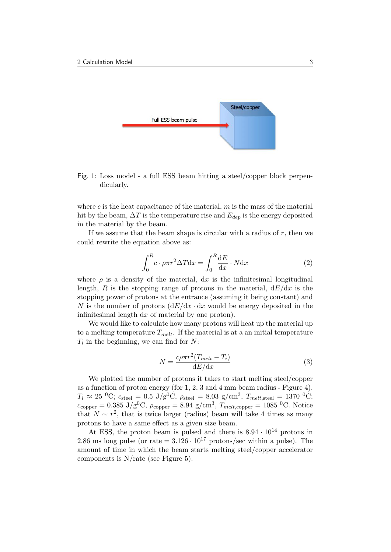

Fig. 1: Loss model - a full ESS beam hitting a steel/copper block perpendicularly.

where  $c$  is the heat capacitance of the material,  $m$  is the mass of the material hit by the beam,  $\Delta T$  is the temperature rise and  $E_{dep}$  is the energy deposited in the material by the beam.

If we assume that the beam shape is circular with a radius of *r*, then we could rewrite the equation above as:

$$
\int_0^R c \cdot \rho \pi r^2 \Delta T \mathrm{d}x = \int_0^R \frac{\mathrm{d}E}{\mathrm{d}x} \cdot N \mathrm{d}x \tag{2}
$$

where  $\rho$  is a density of the material, dx is the infinitesimal longitudinal length, *R* is the stopping range of protons in the material,  $dE/dx$  is the stopping power of protons at the entrance (assuming it being constant) and *N* is the number of protons  $\frac{dE}{dx} \cdot dx$  would be energy deposited in the infinitesimal length d*x* of material by one proton).

We would like to calculate how many protons will heat up the material up to a melting temperature  $T_{melt}$ . If the material is at a an initial temperature *T<sup>i</sup>* in the beginning, we can find for *N*:

$$
N = \frac{c\rho\pi r^2 (T_{melt} - T_i)}{\mathrm{d}E/\mathrm{d}x} \tag{3}
$$

We plotted the number of protons it takes to start melting steel/copper as a function of proton energy (for 1, 2, 3 and 4 mm beam radius - Figure 4).  $T_i \approx 25 \text{ °C}; c_{\text{steel}} = 0.5 \text{ J/g}^0 \text{C}, \rho_{\text{steel}} = 8.03 \text{ g/cm}^3, T_{melt, \text{steel}} = 1370 \text{ °C};$  $c_{\text{copper}} = 0.385 \text{ J/g}^0\text{C}, \rho_{\text{copper}} = 8.94 \text{ g/cm}^3, T_{melt, \text{copper}} = 1085 \text{ }^0\text{C}.$  Notice that  $N \sim r^2$ , that is twice larger (radius) beam will take 4 times as many protons to have a same effect as a given size beam.

At ESS, the proton beam is pulsed and there is  $8.94 \cdot 10^{14}$  protons in 2.86 ms long pulse (or rate  $= 3.126 \cdot 10^{17}$  protons/sec within a pulse). The amount of time in which the beam starts melting steel/copper accelerator components is N*/*rate (see Figure 5).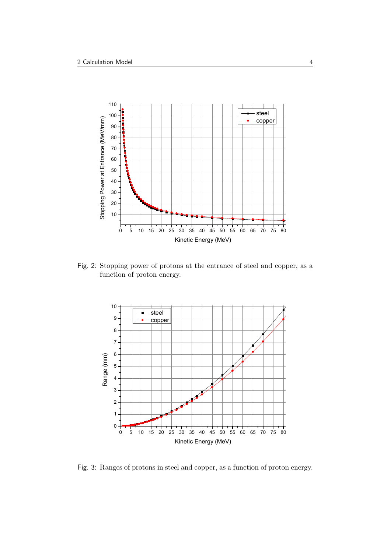

Fig. 2: Stopping power of protons at the entrance of steel and copper, as a function of proton energy.



Fig. 3: Ranges of protons in steel and copper, as a function of proton energy.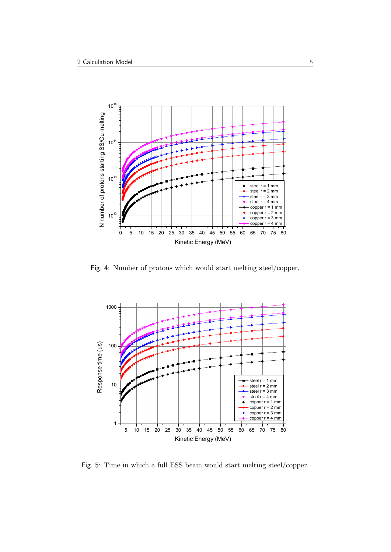

Fig. 4: Number of protons which would start melting steel/copper.



Fig. 5: Time in which a full ESS beam would start melting steel/copper.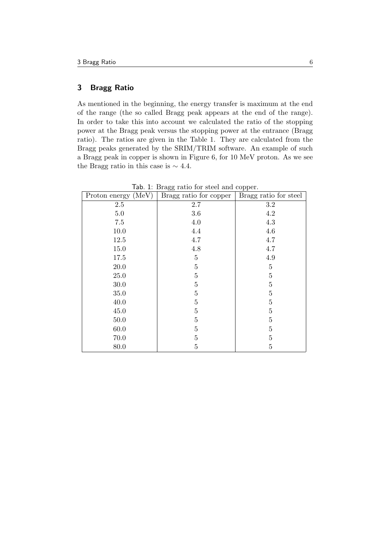## 3 Bragg Ratio

As mentioned in the beginning, the energy transfer is maximum at the end of the range (the so called Bragg peak appears at the end of the range). In order to take this into account we calculated the ratio of the stopping power at the Bragg peak versus the stopping power at the entrance (Bragg ratio). The ratios are given in the Table 1. They are calculated from the Bragg peaks generated by the SRIM/TRIM software. An example of such a Bragg peak in copper is shown in Figure 6, for 10 MeV proton. As we see the Bragg ratio in this case is  $\sim 4.4$ .

| Proton energy (MeV) | Bragg ratio for copper | Bragg ratio for steel |
|---------------------|------------------------|-----------------------|
| $2.5\,$             | 2.7                    | 3.2                   |
| $5.0\,$             | $3.6\,$                | 4.2                   |
| 7.5                 | $4.0\,$                | $4.3\,$               |
| $10.0$              | $4.4\,$                | 4.6                   |
| 12.5                | 4.7                    | 4.7                   |
| 15.0                | 4.8                    | 4.7                   |
| 17.5                | $\bf 5$                | 4.9                   |
| 20.0                | $\bf 5$                | $\overline{5}$        |
| 25.0                | $\mathbf 5$            | $\overline{5}$        |
| 30.0                | $\bf 5$                | $\overline{5}$        |
| $35.0\,$            | $\bf 5$                | $\overline{5}$        |
| 40.0                | $\bf 5$                | $\overline{5}$        |
| 45.0                | $\bf 5$                | $\overline{5}$        |
| 50.0                | $\bf 5$                | $\overline{5}$        |
| 60.0                | $\bf 5$                | $\overline{5}$        |
| 70.0                | $\mathbf 5$            | $\overline{5}$        |
| 80.0                | $\overline{5}$         | $\overline{5}$        |

Tab. 1: Bragg ratio for steel and copper.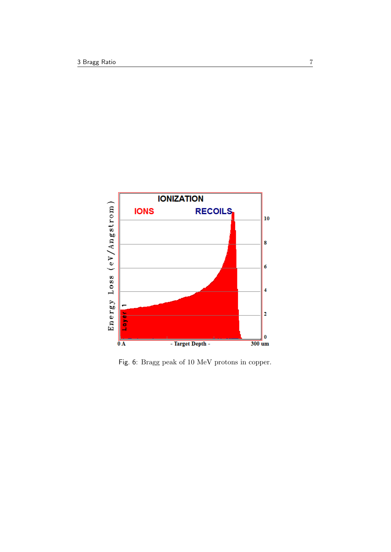

Fig. 6: Bragg peak of 10 MeV protons in copper.